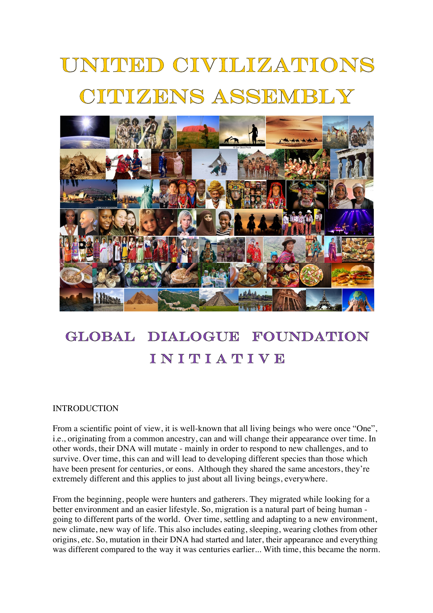# UNITED CIVILIZATIONS TTUZENS ASSEMBLY



#### GLOBAL. DIALOGUE FOUNDATION INITIATIVE

### INTRODUCTION

From a scientific point of view, it is well-known that all living beings who were once "One". i.e., originating from a common ancestry, can and will change their appearance over time. In other words, their DNA will mutate - mainly in order to respond to new challenges, and to survive. Over time, this can and will lead to developing different species than those which have been present for centuries, or eons. Although they shared the same ancestors, they're extremely different and this applies to just about all living beings, everywhere.

From the beginning, people were hunters and gatherers. They migrated while looking for a better environment and an easier lifestyle. So, migration is a natural part of being human going to different parts of the world. Over time, settling and adapting to a new environment, new climate, new way of life. This also includes eating, sleeping, wearing clothes from other origins, etc. So, mutation in their DNA had started and later, their appearance and everything was different compared to the way it was centuries earlier... With time, this became the norm.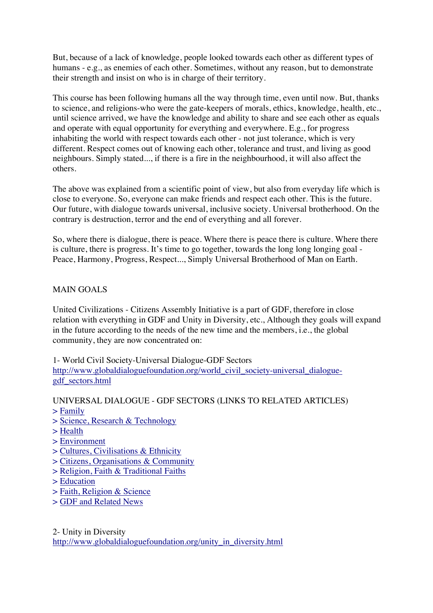But, because of a lack of knowledge, people looked towards each other as different types of humans - e.g., as enemies of each other. Sometimes, without any reason, but to demonstrate their strength and insist on who is in charge of their territory.

This course has been following humans all the way through time, even until now. But, thanks to science, and religions-who were the gate-keepers of morals, ethics, knowledge, health, etc., until science arrived, we have the knowledge and ability to share and see each other as equals and operate with equal opportunity for everything and everywhere. E.g., for progress inhabiting the world with respect towards each other - not just tolerance, which is very different. Respect comes out of knowing each other, tolerance and trust, and living as good neighbours. Simply stated..., if there is a fire in the neighbourhood, it will also affect the others.

The above was explained from a scientific point of view, but also from everyday life which is close to everyone. So, everyone can make friends and respect each other. This is the future. Our future, with dialogue towards universal, inclusive society. Universal brotherhood. On the contrary is destruction, terror and the end of everything and all forever.

So, where there is dialogue, there is peace. Where there is peace there is culture. Where there is culture, there is progress. It's time to go together, towards the long long longing goal - Peace, Harmony, Progress, Respect..., Simply Universal Brotherhood of Man on Earth.

## MAIN GOALS

United Civilizations - Citizens Assembly Initiative is a part of GDF, therefore in close relation with everything in GDF and Unity in Diversity, etc., Although they goals will expand in the future according to the needs of the new time and the members, i.e., the global community, they are now concentrated on:

1- World Civil Society-Universal Dialogue-GDF Sectors http://www.globaldialoguefoundation.org/world\_civil\_society-universal\_dialoguegdf\_sectors.html

UNIVERSAL DIALOGUE - GDF SECTORS (LINKS TO RELATED ARTICLES)

- > Family
- > Science, Research & Technology
- > Health
- > Environment
- > Cultures, Civilisations & Ethnicity
- > Citizens, Organisations & Community
- > Religion, Faith & Traditional Faiths
- > Education
- > Faith, Religion & Science
- > GDF and Related News

2- Unity in Diversity http://www.globaldialoguefoundation.org/unity\_in\_diversity.html